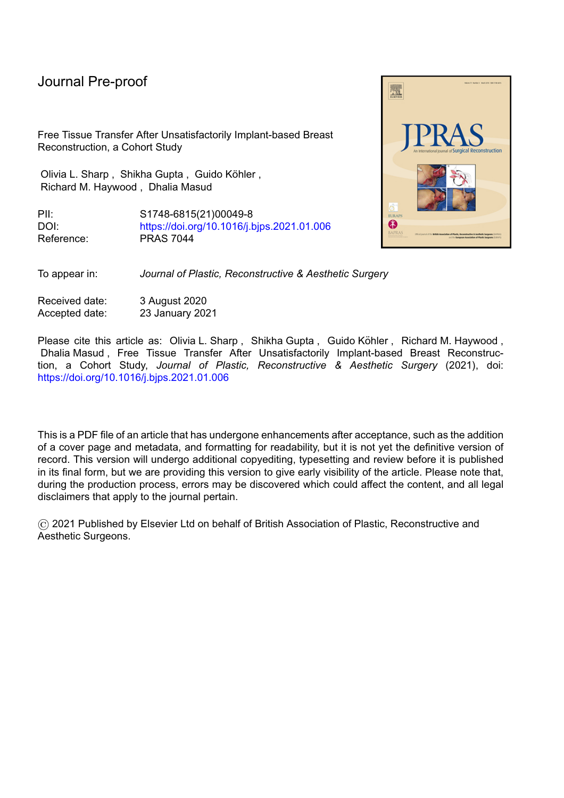Free Tissue Transfer After Unsatisfactorily Implant-based Breast Reconstruction, a Cohort Study

Olivia L. Sharp, Shikha Gupta, Guido Köhler, Richard M. Haywood , Dhalia Masud

PII: S1748-6815(21)00049-8 DOI: <https://doi.org/10.1016/j.bjps.2021.01.006> Reference: PRAS 7044

To appear in: *Journal of Plastic, Reconstructive & Aesthetic Surgery*

Received date: 3 August 2020 Accepted date: 23 January 2021

Please cite this article as: Olivia L. Sharp, Shikha Gupta, Guido Köhler, Richard M. Haywood, Dhalia Masud , Free Tissue Transfer After Unsatisfactorily Implant-based Breast Reconstruction, a Cohort Study, *Journal of Plastic, Reconstructive & Aesthetic Surgery* (2021), doi: <https://doi.org/10.1016/j.bjps.2021.01.006>

This is a PDF file of an article that has undergone enhancements after acceptance, such as the addition of a cover page and metadata, and formatting for readability, but it is not yet the definitive version of record. This version will undergo additional copyediting, typesetting and review before it is published in its final form, but we are providing this version to give early visibility of the article. Please note that, during the production process, errors may be discovered which could affect the content, and all legal disclaimers that apply to the journal pertain.

© 2021 Published by Elsevier Ltd on behalf of British Association of Plastic, Reconstructive and Aesthetic Surgeons.

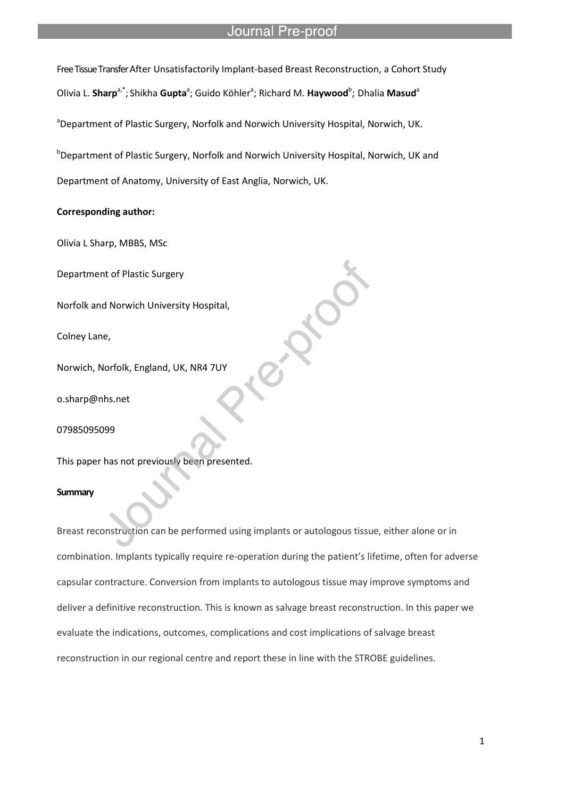Free Tissue Transfer After Unsatisfactorily Implant-based Breast Reconstruction, a Cohort Study Olivia L. **Sharp<sup>a,\*</sup>;** Shikha **Gupta<sup>a</sup>; Guido Köhler<sup>a</sup>; Richard M. <b>Haywood<sup>b</sup>; Dhalia Masud<sup>a</sup>** 

aDepartment of Plastic Surgery, Norfolk and Norwich University Hospital, Norwich, UK.

l

**D** Department of Plastic Surgery, Norfolk and Norwich University Hospital, Norwich, UK and Department of Anatomy, University of East Anglia, Norwich, UK.

## **Corresponding author:**

Olivia L Sharp, MBBS, MSc

Department of Plastic Surgery

Norfolk and Norwich University Hospital,

Colney Lane,

Norwich, Norfolk, England, UK, NR4 7UY

o.sharp@nhs.net

07985095099

This paper has not previously been presented.

#### **Summary**

Breast reconstruction can be performed using implants or autologous tissue, either alone or in combination. Implants typically require re-operation during the patient's lifetime, often for adverse capsular contracture. Conversion from implants to autologous tissue may improve symptoms and deliver a definitive reconstruction. This is known as salvage breast reconstruction. In this paper we evaluate the indications, outcomes, complications and cost implications of salvage breast reconstruction in our regional centre and report these in line with the STROBE guidelines.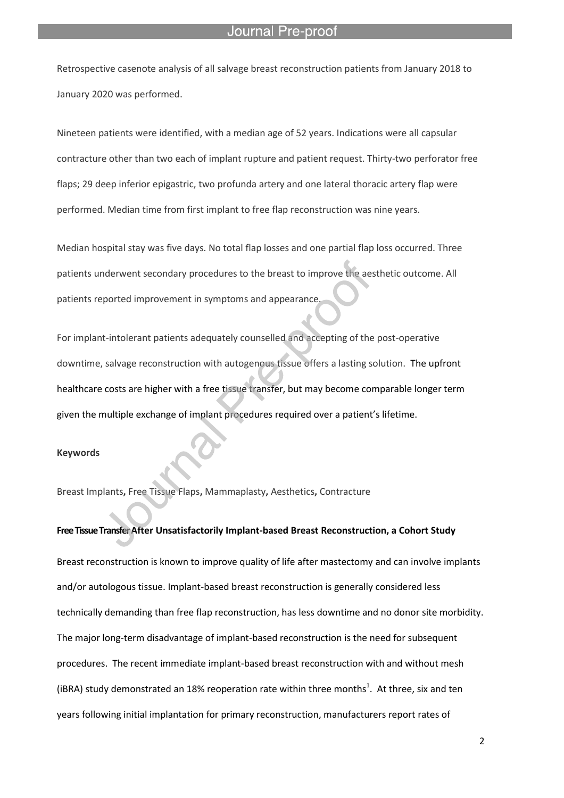#### Pre-proo

Retrospective casenote analysis of all salvage breast reconstruction patients from January 2018 to January 2020 was performed.

l

Nineteen patients were identified, with a median age of 52 years. Indications were all capsular contracture other than two each of implant rupture and patient request. Thirty-two perforator free flaps; 29 deep inferior epigastric, two profunda artery and one lateral thoracic artery flap were performed. Median time from first implant to free flap reconstruction was nine years.

Median hospital stay was five days. No total flap losses and one partial flap loss occurred. Three patients underwent secondary procedures to the breast to improve the aesthetic outcome. All patients reported improvement in symptoms and appearance.

For implant-intolerant patients adequately counselled and accepting of the post-operative downtime, salvage reconstruction with autogenous tissue offers a lasting solution. The upfront healthcare costs are higher with a free tissue transfer, but may become comparable longer term given the multiple exchange of implant procedures required over a patient's lifetime.

#### **Keywords**

Breast Implants**,** Free Tissue Flaps**,** Mammaplasty**,** Aesthetics**,** Contracture

**Free Tissue Transfer After Unsatisfactorily Implant-based Breast Reconstruction, a Cohort Study** Breast reconstruction is known to improve quality of life after mastectomy and can involve implants and/or autologous tissue. Implant-based breast reconstruction is generally considered less technically demanding than free flap reconstruction, has less downtime and no donor site morbidity. The major long-term disadvantage of implant-based reconstruction is the need for subsequent procedures. The recent immediate implant-based breast reconstruction with and without mesh (iBRA) study demonstrated an 18% reoperation rate within three months<sup>1</sup>. At three, six and ten years following initial implantation for primary reconstruction, manufacturers report rates of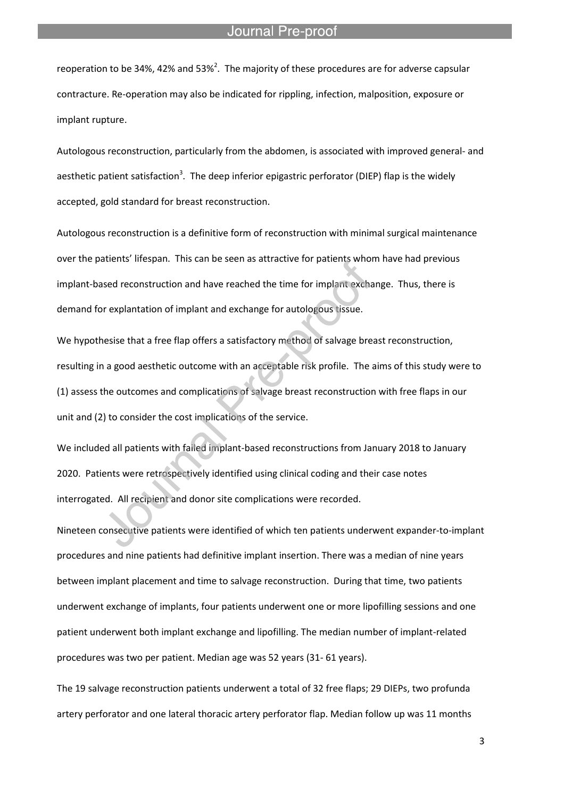reoperation to be 34%, 42% and 53%<sup>2</sup>. The majority of these procedures are for adverse capsular contracture. Re-operation may also be indicated for rippling, infection, malposition, exposure or implant rupture.

l

Autologous reconstruction, particularly from the abdomen, is associated with improved general- and aesthetic patient satisfaction<sup>3</sup>. The deep inferior epigastric perforator (DIEP) flap is the widely accepted, gold standard for breast reconstruction.

Autologous reconstruction is a definitive form of reconstruction with minimal surgical maintenance over the patients' lifespan. This can be seen as attractive for patients whom have had previous implant-based reconstruction and have reached the time for implant exchange. Thus, there is demand for explantation of implant and exchange for autologous tissue.

We hypothesise that a free flap offers a satisfactory method of salvage breast reconstruction, resulting in a good aesthetic outcome with an acceptable risk profile. The aims of this study were to (1) assess the outcomes and complications of salvage breast reconstruction with free flaps in our unit and (2) to consider the cost implications of the service.

We included all patients with failed implant-based reconstructions from January 2018 to January 2020. Patients were retrospectively identified using clinical coding and their case notes interrogated. All recipient and donor site complications were recorded.

Nineteen consecutive patients were identified of which ten patients underwent expander-to-implant procedures and nine patients had definitive implant insertion. There was a median of nine years between implant placement and time to salvage reconstruction. During that time, two patients underwent exchange of implants, four patients underwent one or more lipofilling sessions and one patient underwent both implant exchange and lipofilling. The median number of implant-related procedures was two per patient. Median age was 52 years (31- 61 years).

The 19 salvage reconstruction patients underwent a total of 32 free flaps; 29 DIEPs, two profunda artery perforator and one lateral thoracic artery perforator flap. Median follow up was 11 months

3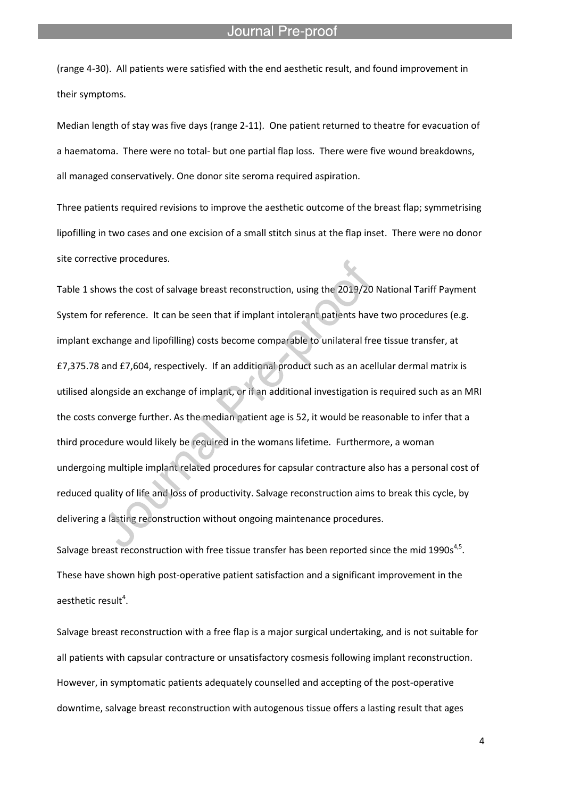(range 4-30). All patients were satisfied with the end aesthetic result, and found improvement in their symptoms.

l

Median length of stay was five days (range 2-11). One patient returned to theatre for evacuation of a haematoma. There were no total- but one partial flap loss. There were five wound breakdowns, all managed conservatively. One donor site seroma required aspiration.

Three patients required revisions to improve the aesthetic outcome of the breast flap; symmetrising lipofilling in two cases and one excision of a small stitch sinus at the flap inset. There were no donor site corrective procedures.

Table 1 shows the cost of salvage breast reconstruction, using the 2019/20 National Tariff Payment System for reference. It can be seen that if implant intolerant patients have two procedures (e.g. implant exchange and lipofilling) costs become comparable to unilateral free tissue transfer, at £7,375.78 and £7,604, respectively. If an additional product such as an acellular dermal matrix is utilised alongside an exchange of implant, or if an additional investigation is required such as an MRI the costs converge further. As the median patient age is 52, it would be reasonable to infer that a third procedure would likely be required in the womans lifetime. Furthermore, a woman undergoing multiple implant related procedures for capsular contracture also has a personal cost of reduced quality of life and loss of productivity. Salvage reconstruction aims to break this cycle, by delivering a lasting reconstruction without ongoing maintenance procedures.

Salvage breast reconstruction with free tissue transfer has been reported since the mid 1990s<sup>4,5</sup>. These have shown high post-operative patient satisfaction and a significant improvement in the aesthetic result $^4$ .

Salvage breast reconstruction with a free flap is a major surgical undertaking, and is not suitable for all patients with capsular contracture or unsatisfactory cosmesis following implant reconstruction. However, in symptomatic patients adequately counselled and accepting of the post-operative downtime, salvage breast reconstruction with autogenous tissue offers a lasting result that ages

4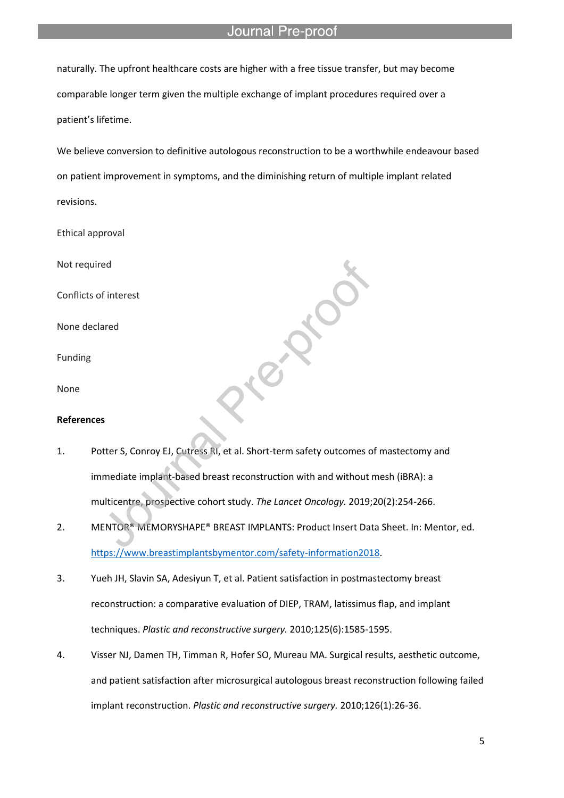naturally. The upfront healthcare costs are higher with a free tissue transfer, but may become comparable longer term given the multiple exchange of implant procedures required over a patient's lifetime.

l

We believe conversion to definitive autologous reconstruction to be a worthwhile endeavour based on patient improvement in symptoms, and the diminishing return of multiple implant related revisions.

Prop.

- Ethical approval
- Not required

Conflicts of interest

None declared

Funding

None

#### **References**

- 1. Potter S, Conroy EJ, Cutress RI, et al. Short-term safety outcomes of mastectomy and immediate implant-based breast reconstruction with and without mesh (iBRA): a multicentre, prospective cohort study. *The Lancet Oncology.* 2019;20(2):254-266.
- 2. MENTOR® MEMORYSHAPE® BREAST IMPLANTS: Product Insert Data Sheet. In: Mentor, ed. https://www.breastimplantsbymentor.com/safety-information2018.
- 3. Yueh JH, Slavin SA, Adesiyun T, et al. Patient satisfaction in postmastectomy breast reconstruction: a comparative evaluation of DIEP, TRAM, latissimus flap, and implant techniques. *Plastic and reconstructive surgery.* 2010;125(6):1585-1595.
- 4. Visser NJ, Damen TH, Timman R, Hofer SO, Mureau MA. Surgical results, aesthetic outcome, and patient satisfaction after microsurgical autologous breast reconstruction following failed implant reconstruction. *Plastic and reconstructive surgery.* 2010;126(1):26-36.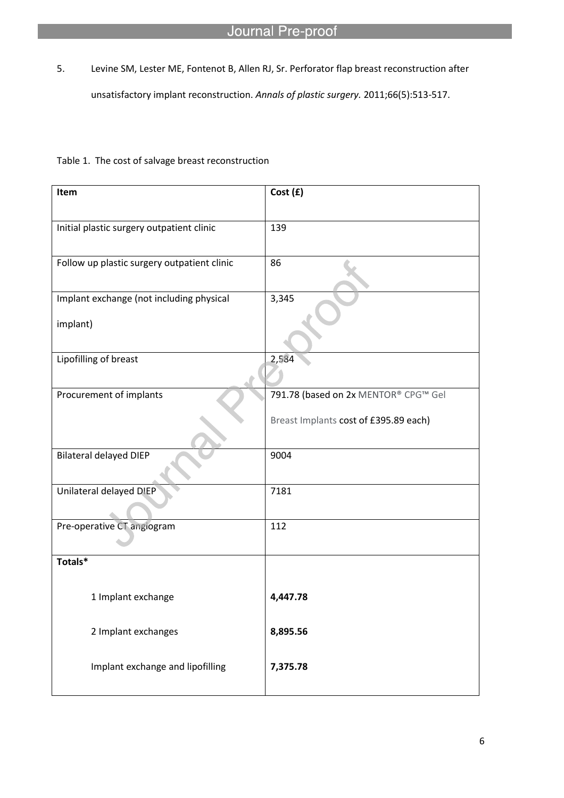5. Levine SM, Lester ME, Fontenot B, Allen RJ, Sr. Perforator flap breast reconstruction after unsatisfactory implant reconstruction. *Annals of plastic surgery.* 2011;66(5):513-517.

# Table 1. The cost of salvage breast reconstruction

l

| Item                                                 | Cost (£)                                                                      |
|------------------------------------------------------|-------------------------------------------------------------------------------|
| Initial plastic surgery outpatient clinic            | 139                                                                           |
| Follow up plastic surgery outpatient clinic          | 86                                                                            |
| Implant exchange (not including physical<br>implant) | 3,345                                                                         |
| Lipofilling of breast                                | 2,584                                                                         |
| Procurement of implants                              | 791.78 (based on 2x MENTOR® CPG™ Gel<br>Breast Implants cost of £395.89 each) |
| <b>Bilateral delayed DIEP</b>                        | 9004                                                                          |
| Unilateral delayed DIEP                              | 7181                                                                          |
| Pre-operative CT angiogram                           | 112                                                                           |
| Totals*                                              |                                                                               |
| 1 Implant exchange                                   | 4,447.78                                                                      |
| 2 Implant exchanges                                  | 8,895.56                                                                      |
| Implant exchange and lipofilling                     | 7,375.78                                                                      |